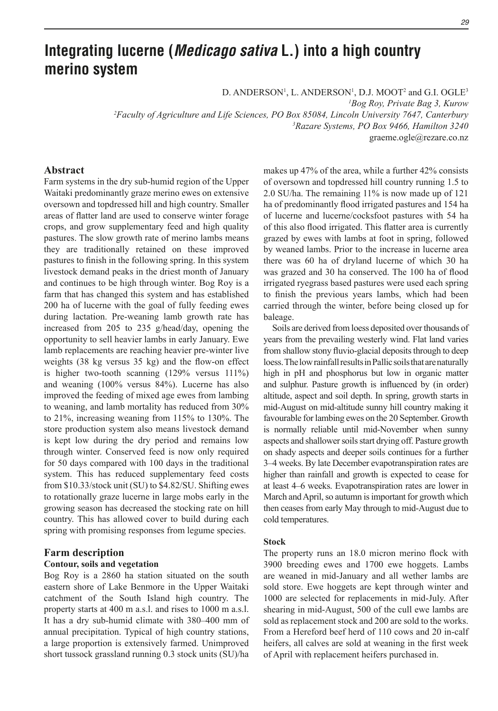# **Integrating lucerne (***Medicago sativa* **L.) into a high country merino system**

D. ANDERSON<sup>1</sup>, L. ANDERSON<sup>1</sup>, D.J. MOOT<sup>2</sup> and G.I. OGLE<sup>3</sup>

*1 Bog Roy, Private Bag 3, Kurow*

*2 Faculty of Agriculture and Life Sciences, PO Box 85084, Lincoln University 7647, Canterbury 3 Razare Systems, PO Box 9466, Hamilton 3240*

graeme.ogle@rezare.co.nz

## **Abstract**

Farm systems in the dry sub-humid region of the Upper Waitaki predominantly graze merino ewes on extensive oversown and topdressed hill and high country. Smaller areas of flatter land are used to conserve winter forage crops, and grow supplementary feed and high quality pastures. The slow growth rate of merino lambs means they are traditionally retained on these improved pastures to finish in the following spring. In this system livestock demand peaks in the driest month of January and continues to be high through winter. Bog Roy is a farm that has changed this system and has established 200 ha of lucerne with the goal of fully feeding ewes during lactation. Pre-weaning lamb growth rate has increased from 205 to 235 g/head/day, opening the opportunity to sell heavier lambs in early January. Ewe lamb replacements are reaching heavier pre-winter live weights (38 kg versus 35 kg) and the flow-on effect is higher two-tooth scanning  $(129\% \text{ versus } 111\%)$ and weaning (100% versus 84%). Lucerne has also improved the feeding of mixed age ewes from lambing to weaning, and lamb mortality has reduced from 30% to 21%, increasing weaning from 115% to 130%. The store production system also means livestock demand is kept low during the dry period and remains low through winter. Conserved feed is now only required for 50 days compared with 100 days in the traditional system. This has reduced supplementary feed costs from \$10.33/stock unit (SU) to \$4.82/SU. Shifting ewes to rotationally graze lucerne in large mobs early in the growing season has decreased the stocking rate on hill country. This has allowed cover to build during each spring with promising responses from legume species.

# **Farm description**

## **Contour, soils and vegetation**

Bog Roy is a 2860 ha station situated on the south eastern shore of Lake Benmore in the Upper Waitaki catchment of the South Island high country. The property starts at 400 m a.s.l. and rises to 1000 m a.s.l. It has a dry sub-humid climate with 380–400 mm of annual precipitation. Typical of high country stations, a large proportion is extensively farmed. Unimproved short tussock grassland running 0.3 stock units (SU)/ha

makes up 47% of the area, while a further 42% consists of oversown and topdressed hill country running 1.5 to 2.0 SU/ha. The remaining 11% is now made up of 121 ha of predominantly flood irrigated pastures and 154 ha of lucerne and lucerne/cocksfoot pastures with 54 ha of this also flood irrigated. This flatter area is currently grazed by ewes with lambs at foot in spring, followed by weaned lambs. Prior to the increase in lucerne area there was 60 ha of dryland lucerne of which 30 ha was grazed and 30 ha conserved. The 100 ha of flood irrigated ryegrass based pastures were used each spring to finish the previous years lambs, which had been carried through the winter, before being closed up for baleage.

Soils are derived from loess deposited over thousands of years from the prevailing westerly wind. Flat land varies from shallow stony fluvio-glacial deposits through to deep loess. The low rainfall results in Pallic soils that are naturally high in pH and phosphorus but low in organic matter and sulphur. Pasture growth is influenced by (in order) altitude, aspect and soil depth. In spring, growth starts in mid-August on mid-altitude sunny hill country making it favourable for lambing ewes on the 20 September. Growth is normally reliable until mid-November when sunny aspects and shallower soils start drying off. Pasture growth on shady aspects and deeper soils continues for a further 3–4 weeks. By late December evapotranspiration rates are higher than rainfall and growth is expected to cease for at least 4–6 weeks. Evapotranspiration rates are lower in March and April, so autumn is important for growth which then ceases from early May through to mid-August due to cold temperatures.

### **Stock**

The property runs an 18.0 micron merino flock with 3900 breeding ewes and 1700 ewe hoggets. Lambs are weaned in mid-January and all wether lambs are sold store. Ewe hoggets are kept through winter and 1000 are selected for replacements in mid-July. After shearing in mid-August, 500 of the cull ewe lambs are sold as replacement stock and 200 are sold to the works. From a Hereford beef herd of 110 cows and 20 in-calf heifers, all calves are sold at weaning in the first week of April with replacement heifers purchased in.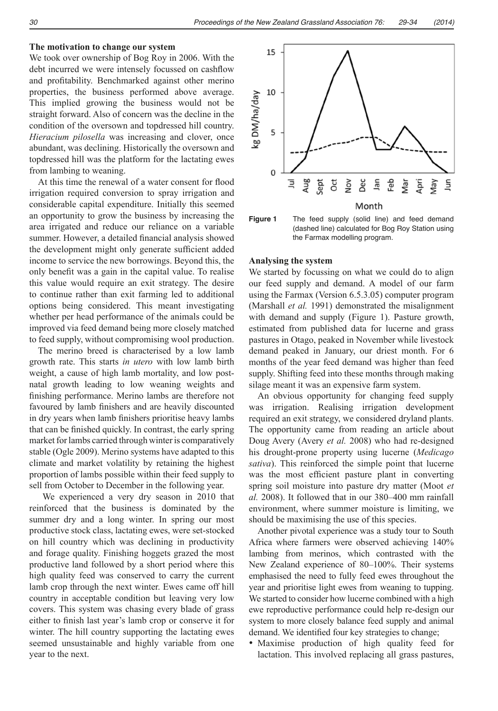#### **The motivation to change our system**

We took over ownership of Bog Roy in 2006. With the debt incurred we were intensely focussed on cashflow and profitability. Benchmarked against other merino properties, the business performed above average. This implied growing the business would not be straight forward. Also of concern was the decline in the condition of the oversown and topdressed hill country. *Hieracium pilosella* was increasing and clover, once abundant, was declining. Historically the oversown and topdressed hill was the platform for the lactating ewes from lambing to weaning.

At this time the renewal of a water consent for flood irrigation required conversion to spray irrigation and considerable capital expenditure. Initially this seemed an opportunity to grow the business by increasing the area irrigated and reduce our reliance on a variable summer. However, a detailed financial analysis showed the development might only generate sufficient added income to service the new borrowings. Beyond this, the only benefit was a gain in the capital value. To realise this value would require an exit strategy. The desire to continue rather than exit farming led to additional options being considered. This meant investigating whether per head performance of the animals could be improved via feed demand being more closely matched to feed supply, without compromising wool production.

The merino breed is characterised by a low lamb growth rate. This starts *in utero* with low lamb birth weight, a cause of high lamb mortality, and low postnatal growth leading to low weaning weights and finishing performance. Merino lambs are therefore not favoured by lamb finishers and are heavily discounted in dry years when lamb finishers prioritise heavy lambs that can be finished quickly. In contrast, the early spring market for lambs carried through winter is comparatively stable (Ogle 2009). Merino systems have adapted to this climate and market volatility by retaining the highest proportion of lambs possible within their feed supply to sell from October to December in the following year.

 We experienced a very dry season in 2010 that reinforced that the business is dominated by the summer dry and a long winter. In spring our most productive stock class, lactating ewes, were set-stocked on hill country which was declining in productivity and forage quality. Finishing hoggets grazed the most productive land followed by a short period where this high quality feed was conserved to carry the current lamb crop through the next winter. Ewes came off hill country in acceptable condition but leaving very low covers. This system was chasing every blade of grass either to finish last year's lamb crop or conserve it for winter. The hill country supporting the lactating ewes seemed unsustainable and highly variable from one year to the next.





## **Analysing the system**

We started by focussing on what we could do to align our feed supply and demand. A model of our farm using the Farmax (Version 6.5.3.05) computer program (Marshall *et al.* 1991) demonstrated the misalignment with demand and supply (Figure 1). Pasture growth, estimated from published data for lucerne and grass pastures in Otago, peaked in November while livestock demand peaked in January, our driest month. For 6 months of the year feed demand was higher than feed supply. Shifting feed into these months through making silage meant it was an expensive farm system.

An obvious opportunity for changing feed supply was irrigation. Realising irrigation development required an exit strategy, we considered dryland plants. The opportunity came from reading an article about Doug Avery (Avery *et al.* 2008) who had re-designed his drought-prone property using lucerne (*Medicago sativa*). This reinforced the simple point that lucerne was the most efficient pasture plant in converting spring soil moisture into pasture dry matter (Moot *et al.* 2008). It followed that in our 380–400 mm rainfall environment, where summer moisture is limiting, we should be maximising the use of this species.

Another pivotal experience was a study tour to South Africa where farmers were observed achieving 140% lambing from merinos, which contrasted with the New Zealand experience of 80–100%. Their systems emphasised the need to fully feed ewes throughout the year and prioritise light ewes from weaning to tupping. We started to consider how lucerne combined with a high ewe reproductive performance could help re-design our system to more closely balance feed supply and animal demand. We identified four key strategies to change;

Maximise production of high quality feed for lactation. This involved replacing all grass pastures,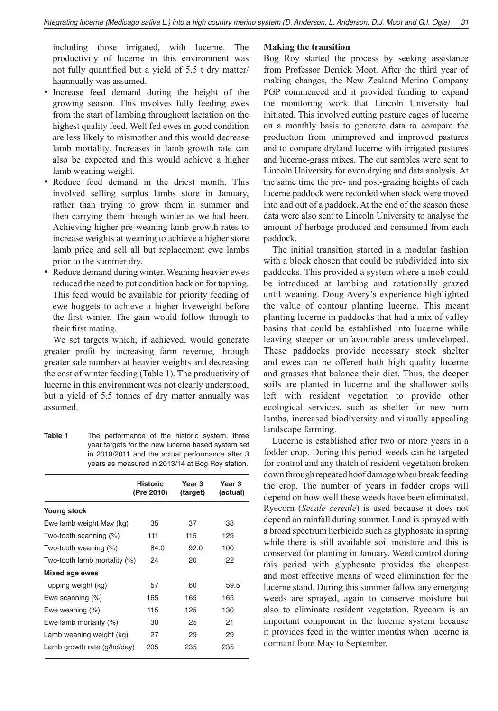including those irrigated, with lucerne. The productivity of lucerne in this environment was not fully quantified but a yield of 5.5 t dry matter/ haannually was assumed.

- Increase feed demand during the height of the growing season. This involves fully feeding ewes from the start of lambing throughout lactation on the highest quality feed. Well fed ewes in good condition are less likely to mismother and this would decrease lamb mortality. Increases in lamb growth rate can also be expected and this would achieve a higher lamb weaning weight.
- Reduce feed demand in the driest month. This involved selling surplus lambs store in January, rather than trying to grow them in summer and then carrying them through winter as we had been. Achieving higher pre-weaning lamb growth rates to increase weights at weaning to achieve a higher store lamb price and sell all but replacement ewe lambs prior to the summer dry.
- Reduce demand during winter. Weaning heavier ewes reduced the need to put condition back on for tupping. This feed would be available for priority feeding of ewe hoggets to achieve a higher liveweight before the first winter. The gain would follow through to their first mating.

We set targets which, if achieved, would generate greater profit by increasing farm revenue, through greater sale numbers at heavier weights and decreasing the cost of winter feeding (Table 1). The productivity of lucerne in this environment was not clearly understood, but a yield of 5.5 tonnes of dry matter annually was assumed.

**Table 1** The performance of the historic system, three year targets for the new lucerne based system set in 2010/2011 and the actual performance after 3 years as measured in 2013/14 at Bog Roy station.

|                              | <b>Historic</b><br>(Pre 2010) | Year 3<br>(target) | Year 3<br>(actual) |
|------------------------------|-------------------------------|--------------------|--------------------|
| <b>Young stock</b>           |                               |                    |                    |
| Ewe lamb weight May (kg)     | 35                            | 37                 | 38                 |
| Two-tooth scanning (%)       | 111                           | 115                | 129                |
| Two-tooth weaning (%)        | 84.0                          | 92.0               | 100                |
| Two-tooth lamb mortality (%) | 24                            | 20                 | 22                 |
| Mixed age ewes               |                               |                    |                    |
| Tupping weight (kg)          | 57                            | 60                 | 59.5               |
| Ewe scanning $(\%)$          | 165                           | 165                | 165                |
| Ewe weaning $(\%)$           | 115                           | 125                | 130                |
| Ewe lamb mortality (%)       | 30                            | 25                 | 21                 |
| Lamb weaning weight (kg)     | 27                            | 29                 | 29                 |
| Lamb growth rate (g/hd/day)  | 205                           | 235                | 235                |

## **Making the transition**

Bog Roy started the process by seeking assistance from Professor Derrick Moot. After the third year of making changes, the New Zealand Merino Company PGP commenced and it provided funding to expand the monitoring work that Lincoln University had initiated. This involved cutting pasture cages of lucerne on a monthly basis to generate data to compare the production from unimproved and improved pastures and to compare dryland lucerne with irrigated pastures and lucerne-grass mixes. The cut samples were sent to Lincoln University for oven drying and data analysis. At the same time the pre- and post-grazing heights of each lucerne paddock were recorded when stock were moved into and out of a paddock. At the end of the season these data were also sent to Lincoln University to analyse the amount of herbage produced and consumed from each paddock.

The initial transition started in a modular fashion with a block chosen that could be subdivided into six paddocks. This provided a system where a mob could be introduced at lambing and rotationally grazed until weaning. Doug Avery's experience highlighted the value of contour planting lucerne. This meant planting lucerne in paddocks that had a mix of valley basins that could be established into lucerne while leaving steeper or unfavourable areas undeveloped. These paddocks provide necessary stock shelter and ewes can be offered both high quality lucerne and grasses that balance their diet. Thus, the deeper soils are planted in lucerne and the shallower soils left with resident vegetation to provide other ecological services, such as shelter for new born lambs, increased biodiversity and visually appealing landscape farming.

Lucerne is established after two or more years in a fodder crop. During this period weeds can be targeted for control and any thatch of resident vegetation broken down through repeated hoof damage when break feeding the crop. The number of years in fodder crops will depend on how well these weeds have been eliminated. Ryecorn (*Secale cereale*) is used because it does not depend on rainfall during summer. Land is sprayed with a broad spectrum herbicide such as glyphosate in spring while there is still available soil moisture and this is conserved for planting in January. Weed control during this period with glyphosate provides the cheapest and most effective means of weed elimination for the lucerne stand. During this summer fallow any emerging weeds are sprayed, again to conserve moisture but also to eliminate resident vegetation. Ryecorn is an important component in the lucerne system because it provides feed in the winter months when lucerne is dormant from May to September.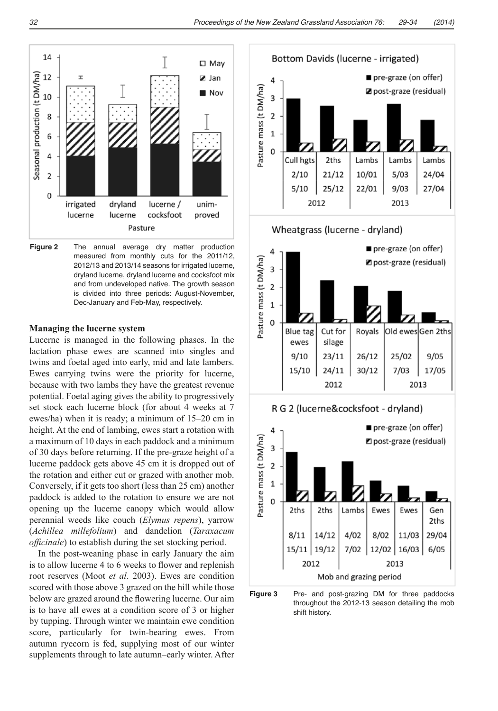

**Figure 2** The annual average dry matter production measured from monthly cuts for the 2011/12, 2012/13 and 2013/14 seasons for irrigated lucerne, dryland lucerne, dryland lucerne and cocksfoot mix and from undeveloped native. The growth season is divided into three periods: August-November, Dec-January and Feb-May, respectively.

### **Managing the lucerne system**

Lucerne is managed in the following phases. In the lactation phase ewes are scanned into singles and twins and foetal aged into early, mid and late lambers. Ewes carrying twins were the priority for lucerne, because with two lambs they have the greatest revenue potential. Foetal aging gives the ability to progressively set stock each lucerne block (for about 4 weeks at 7 ewes/ha) when it is ready; a minimum of 15–20 cm in height. At the end of lambing, ewes start a rotation with a maximum of 10 days in each paddock and a minimum of 30 days before returning. If the pre-graze height of a lucerne paddock gets above 45 cm it is dropped out of the rotation and either cut or grazed with another mob. Conversely, if it gets too short (less than 25 cm) another paddock is added to the rotation to ensure we are not opening up the lucerne canopy which would allow perennial weeds like couch (*Elymus repens*), yarrow (*Achillea millefolium*) and dandelion (*Taraxacum officinale*) to establish during the set stocking period.

In the post-weaning phase in early January the aim is to allow lucerne 4 to 6 weeks to flower and replenish root reserves (Moot *et al*. 2003). Ewes are condition scored with those above 3 grazed on the hill while those below are grazed around the flowering lucerne. Our aim is to have all ewes at a condition score of 3 or higher by tupping. Through winter we maintain ewe condition score, particularly for twin-bearing ewes. From autumn ryecorn is fed, supplying most of our winter supplements through to late autumn–early winter. After



**Figure 3** Pre- and post-grazing DM for three paddocks throughout the 2012-13 season detailing the mob shift history.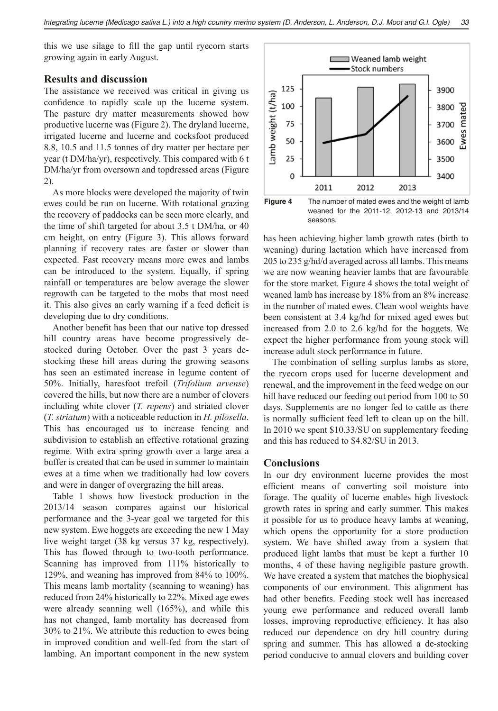this we use silage to fill the gap until ryecorn starts growing again in early August.

# **Results and discussion**

The assistance we received was critical in giving us confidence to rapidly scale up the lucerne system. The pasture dry matter measurements showed how productive lucerne was (Figure 2). The dryland lucerne, irrigated lucerne and lucerne and cocksfoot produced 8.8, 10.5 and 11.5 tonnes of dry matter per hectare per year (t DM/ha/yr), respectively. This compared with 6 t DM/ha/yr from oversown and topdressed areas (Figure 2).

As more blocks were developed the majority of twin ewes could be run on lucerne. With rotational grazing the recovery of paddocks can be seen more clearly, and the time of shift targeted for about 3.5 t DM/ha, or 40 cm height, on entry (Figure 3). This allows forward planning if recovery rates are faster or slower than expected. Fast recovery means more ewes and lambs can be introduced to the system. Equally, if spring rainfall or temperatures are below average the slower regrowth can be targeted to the mobs that most need it. This also gives an early warning if a feed deficit is developing due to dry conditions.

Another benefit has been that our native top dressed hill country areas have become progressively destocked during October. Over the past 3 years destocking these hill areas during the growing seasons has seen an estimated increase in legume content of 50%. Initially, haresfoot trefoil (*Trifolium arvense*) covered the hills, but now there are a number of clovers including white clover (*T. repens*) and striated clover (*T. striatum*) with a noticeable reduction in *H. pilosella*. This has encouraged us to increase fencing and subdivision to establish an effective rotational grazing regime. With extra spring growth over a large area a buffer is created that can be used in summer to maintain ewes at a time when we traditionally had low covers and were in danger of overgrazing the hill areas.

Table 1 shows how livestock production in the 2013/14 season compares against our historical performance and the 3-year goal we targeted for this new system. Ewe hoggets are exceeding the new 1 May live weight target (38 kg versus 37 kg, respectively). This has flowed through to two-tooth performance. Scanning has improved from 111% historically to 129%, and weaning has improved from 84% to 100%. This means lamb mortality (scanning to weaning) has reduced from 24% historically to 22%. Mixed age ewes were already scanning well (165%), and while this has not changed, lamb mortality has decreased from 30% to 21%. We attribute this reduction to ewes being in improved condition and well-fed from the start of lambing. An important component in the new system



has been achieving higher lamb growth rates (birth to weaning) during lactation which have increased from 205 to 235 g/hd/d averaged across all lambs. This means we are now weaning heavier lambs that are favourable for the store market. Figure 4 shows the total weight of weaned lamb has increase by 18% from an 8% increase in the number of mated ewes. Clean wool weights have been consistent at 3.4 kg/hd for mixed aged ewes but increased from 2.0 to 2.6 kg/hd for the hoggets. We expect the higher performance from young stock will increase adult stock performance in future.

The combination of selling surplus lambs as store, the ryecorn crops used for lucerne development and renewal, and the improvement in the feed wedge on our hill have reduced our feeding out period from 100 to 50 days. Supplements are no longer fed to cattle as there is normally sufficient feed left to clean up on the hill. In 2010 we spent \$10.33/SU on supplementary feeding and this has reduced to \$4.82/SU in 2013.

# **Conclusions**

In our dry environment lucerne provides the most efficient means of converting soil moisture into forage. The quality of lucerne enables high livestock growth rates in spring and early summer. This makes it possible for us to produce heavy lambs at weaning, which opens the opportunity for a store production system. We have shifted away from a system that produced light lambs that must be kept a further 10 months, 4 of these having negligible pasture growth. We have created a system that matches the biophysical components of our environment. This alignment has had other benefits. Feeding stock well has increased young ewe performance and reduced overall lamb losses, improving reproductive efficiency. It has also reduced our dependence on dry hill country during spring and summer. This has allowed a de-stocking period conducive to annual clovers and building cover